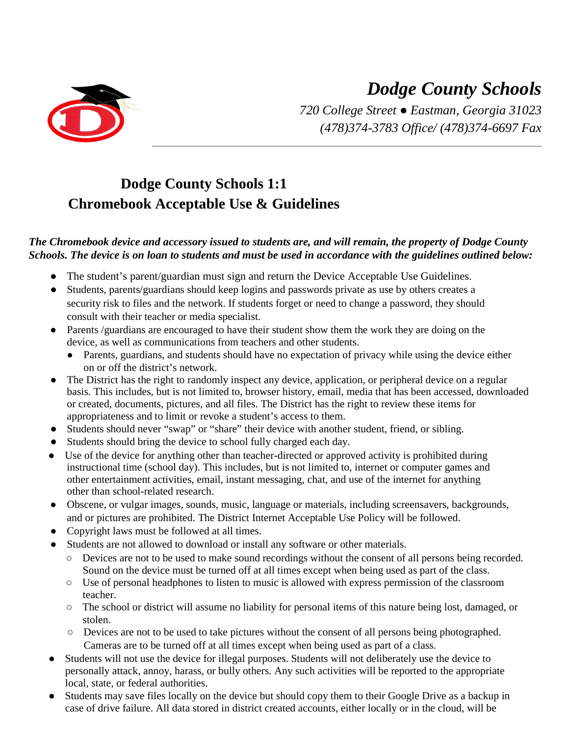

# *Dodge County Schools*

*720 College Street ● Eastman, Georgia 31023 (478)374-3783 Office/ (478)374-6697 Fax*

## **Dodge County Schools 1:1 Chromebook Acceptable Use & Guidelines**

#### *The Chromebook device and accessory issued to students are, and will remain, the property of Dodge County Schools. The device is on loan to students and must be used in accordance with the guidelines outlined below:*

- The student's parent/guardian must sign and return the Device Acceptable Use Guidelines.
- Students, parents/guardians should keep logins and passwords private as use by others creates a security risk to files and the network. If students forget or need to change a password, they should consult with their teacher or media specialist.
- Parents /guardians are encouraged to have their student show them the work they are doing on the device, as well as communications from teachers and other students.
	- Parents, guardians, and students should have no expectation of privacy while using the device either on or off the district's network.
- The District has the right to randomly inspect any device, application, or peripheral device on a regular basis. This includes, but is not limited to, browser history, email, media that has been accessed, downloaded or created, documents, pictures, and all files. The District has the right to review these items for appropriateness and to limit or revoke a student's access to them.
- Students should never "swap" or "share" their device with another student, friend, or sibling.
- Students should bring the device to school fully charged each day.
- Use of the device for anything other than teacher-directed or approved activity is prohibited during instructional time (school day). This includes, but is not limited to, internet or computer games and other entertainment activities, email, instant messaging, chat, and use of the internet for anything other than school-related research.
- Obscene, or vulgar images, sounds, music, language or materials, including screensavers, backgrounds, and or pictures are prohibited. The District Internet Acceptable Use Policy will be followed.
- Copyright laws must be followed at all times.
- Students are not allowed to download or install any software or other materials.
	- Devices are not to be used to make sound recordings without the consent of all persons being recorded. Sound on the device must be turned off at all times except when being used as part of the class.
	- Use of personal headphones to listen to music is allowed with express permission of the classroom teacher.
	- The school or district will assume no liability for personal items of this nature being lost, damaged, or stolen.
	- Devices are not to be used to take pictures without the consent of all persons being photographed. Cameras are to be turned off at all times except when being used as part of a class.
- Students will not use the device for illegal purposes. Students will not deliberately use the device to personally attack, annoy, harass, or bully others. Any such activities will be reported to the appropriate local, state, or federal authorities.
- Students may save files locally on the device but should copy them to their Google Drive as a backup in case of drive failure. All data stored in district created accounts, either locally or in the cloud, will be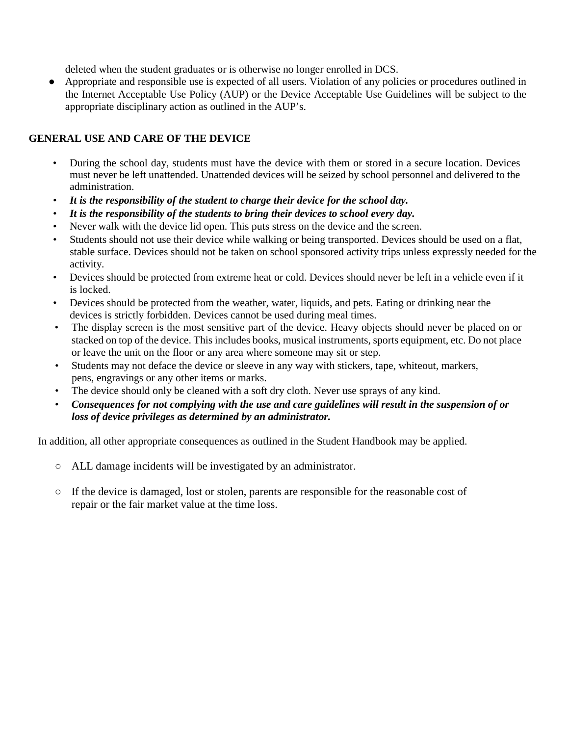deleted when the student graduates or is otherwise no longer enrolled in DCS.

● Appropriate and responsible use is expected of all users. Violation of any policies or procedures outlined in the Internet Acceptable Use Policy (AUP) or the Device Acceptable Use Guidelines will be subject to the appropriate disciplinary action as outlined in the AUP's.

#### **GENERAL USE AND CARE OF THE DEVICE**

- During the school day, students must have the device with them or stored in a secure location. Devices must never be left unattended. Unattended devices will be seized by school personnel and delivered to the administration.
- *It is the responsibility of the student to charge their device for the school day.*
- *It is the responsibility of the students to bring their devices to school every day.*
- Never walk with the device lid open. This puts stress on the device and the screen.
- Students should not use their device while walking or being transported. Devices should be used on a flat, stable surface. Devices should not be taken on school sponsored activity trips unless expressly needed for the activity.
- Devices should be protected from extreme heat or cold. Devices should never be left in a vehicle even if it is locked.
- Devices should be protected from the weather, water, liquids, and pets. Eating or drinking near the devices is strictly forbidden. Devices cannot be used during meal times.
- The display screen is the most sensitive part of the device. Heavy objects should never be placed on or stacked on top of the device. This includes books, musical instruments, sports equipment, etc. Do not place or leave the unit on the floor or any area where someone may sit or step.
- Students may not deface the device or sleeve in any way with stickers, tape, whiteout, markers, pens, engravings or any other items or marks.
- The device should only be cleaned with a soft dry cloth. Never use sprays of any kind.
- *Consequences for not complying with the use and care guidelines will result in the suspension of or loss of device privileges as determined by an administrator.*

In addition, all other appropriate consequences as outlined in the Student Handbook may be applied.

- ALL damage incidents will be investigated by an administrator.
- If the device is damaged, lost or stolen, parents are responsible for the reasonable cost of repair or the fair market value at the time loss.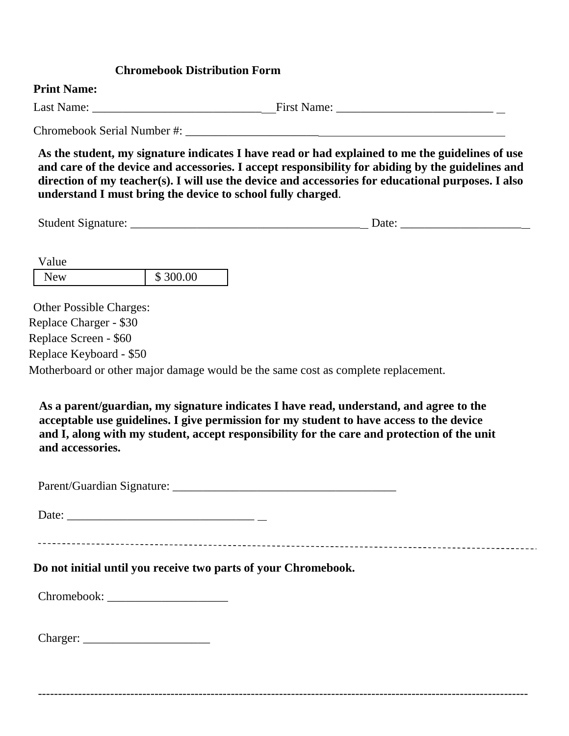#### **Chromebook Distribution Form**

#### **Print Name:**

Last Name: \_\_\_\_\_\_\_\_\_\_\_\_\_\_\_\_\_\_\_\_\_\_\_\_\_\_\_\_ First Name: \_\_\_\_\_\_\_\_\_\_\_\_\_\_\_\_\_\_\_\_\_\_\_\_\_\_

Chromebook Serial Number #:

**As the student, my signature indicates I have read or had explained to me the guidelines of use and care of the device and accessories. I accept responsibility for abiding by the guidelines and direction of my teacher(s). I will use the device and accessories for educational purposes. I also understand I must bring the device to school fully charged**.

Student Signature: \_\_\_\_\_\_\_\_\_\_\_\_\_\_\_\_\_\_\_\_\_\_\_\_\_\_\_\_\_\_\_\_\_\_\_\_\_\_ Date: \_\_\_\_\_\_\_\_\_\_\_\_\_\_\_\_\_\_\_\_

Value New \$ 300.00

Other Possible Charges: Replace Charger - \$30 Replace Screen - \$60 Replace Keyboard - \$50 Motherboard or other major damage would be the same cost as complete replacement.

**As a parent/guardian, my signature indicates I have read, understand, and agree to the acceptable use guidelines. I give permission for my student to have access to the device and I, along with my student, accept responsibility for the care and protection of the unit and accessories.**

Parent/Guardian Signature: \_\_\_\_\_\_\_\_\_\_\_\_\_\_\_\_\_\_\_\_\_\_\_\_\_\_\_\_\_\_\_\_\_\_\_\_\_

Date: \_\_\_\_\_\_\_\_\_\_\_\_\_\_\_\_\_\_\_\_\_\_\_\_\_\_\_\_\_\_\_

--------------------------------------------------------------------------------------------------------------------------

#### **Do not initial until you receive two parts of your Chromebook.**

Chromebook:

Charger: \_\_\_\_\_\_\_\_\_\_\_\_\_\_\_\_\_\_\_\_\_